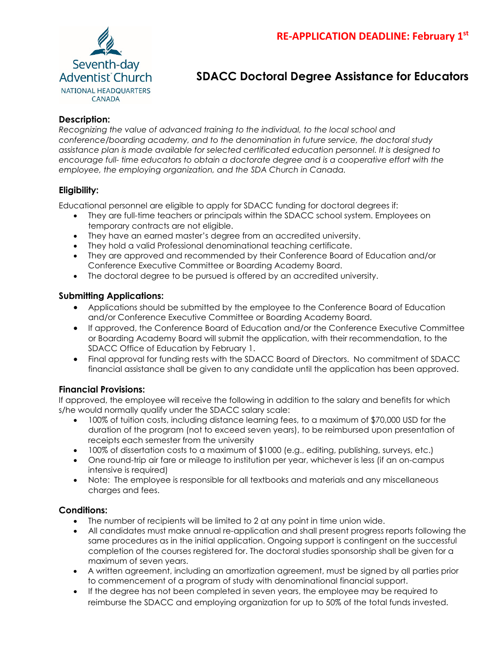

# **SDACC Doctoral Degree Assistance for Educators**

## **Description:**

*Recognizing the value of advanced training to the individual, to the local school and conference/boarding academy, and to the denomination in future service, the doctoral study assistance plan is made available for selected certificated education personnel. It is designed to encourage full- time educators to obtain a doctorate degree and is a cooperative effort with the employee, the employing organization, and the SDA Church in Canada.*

### **Eligibility:**

Educational personnel are eligible to apply for SDACC funding for doctoral degrees if:

- They are full-time teachers or principals within the SDACC school system. Employees on temporary contracts are not eligible.
- They have an earned master's degree from an accredited university.
- They hold a valid Professional denominational teaching certificate.
- They are approved and recommended by their Conference Board of Education and/or Conference Executive Committee or Boarding Academy Board.
- The doctoral degree to be pursued is offered by an accredited university.

#### **Submitting Applications:**

- Applications should be submitted by the employee to the Conference Board of Education and/or Conference Executive Committee or Boarding Academy Board.
- If approved, the Conference Board of Education and/or the Conference Executive Committee or Boarding Academy Board will submit the application, with their recommendation, to the SDACC Office of Education by February 1.
- Final approval for funding rests with the SDACC Board of Directors. No commitment of SDACC financial assistance shall be given to any candidate until the application has been approved.

#### **Financial Provisions:**

If approved, the employee will receive the following in addition to the salary and benefits for which s/he would normally qualify under the SDACC salary scale:

- 100% of tuition costs, including distance learning fees, to a maximum of \$70,000 USD for the duration of the program (not to exceed seven years), to be reimbursed upon presentation of receipts each semester from the university
- 100% of dissertation costs to a maximum of \$1000 (e.g., editing, publishing, surveys, etc.)
- One round-trip air fare or mileage to institution per year, whichever is less (if an on-campus intensive is required)
- Note: The employee is responsible for all textbooks and materials and any miscellaneous charges and fees.

#### **Conditions:**

- The number of recipients will be limited to 2 at any point in time union wide.
- All candidates must make annual re-application and shall present progress reports following the same procedures as in the initial application. Ongoing support is contingent on the successful completion of the courses registered for. The doctoral studies sponsorship shall be given for a maximum of seven years.
- A written agreement, including an amortization agreement, must be signed by all parties prior to commencement of a program of study with denominational financial support.
- If the degree has not been completed in seven years, the employee may be required to reimburse the SDACC and employing organization for up to 50% of the total funds invested.